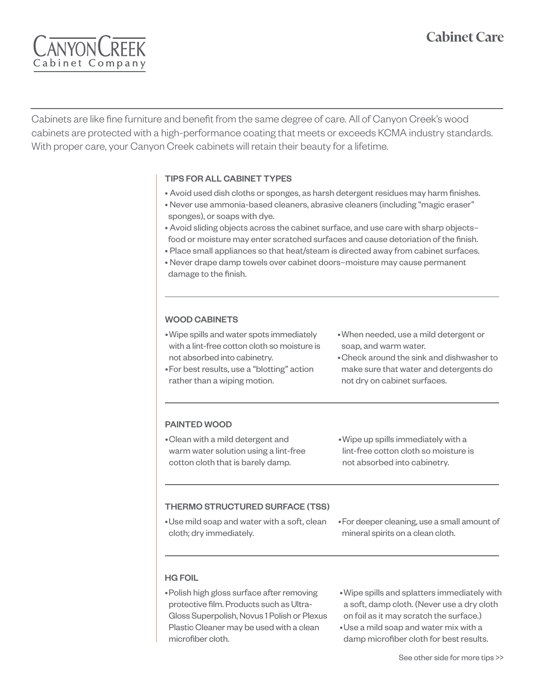# **Cabinet Care**



Cabinets are like fine furniture and benefit from the same degree of care. All of Canyon Creek's wood cabinets are protected with a high-performance coating that meets or exceeds KCMA industry standards. With proper care, your Canyon Creek cabinets will retain their beauty for a lifetime.

## TIPS FOR ALL CABINET TYPES

- Avoid used dish cloths or sponges, as harsh detergent residues may harm finishes.
- Never use ammonia-based cleaners, abrasive cleaners (including "magic eraser" sponges), or soaps with dye.
- Avoid sliding objects across the cabinet surface, and use care with sharp objects– food or moisture may enter scratched surfaces and cause detoriation of the finish.
- Place small appliances so that heat/steam is directed away from cabinet surfaces.
- Never drape damp towels over cabinet doors–moisture may cause permanent damage to the finish.

## WOOD CABINETS

- •Wipe spills and water spots immediately with a lint-free cotton cloth so moisture is not absorbed into cabinetry.
- •For best results, use a "blotting" action rather than a wiping motion.
- •When needed, use a mild detergent or soap, and warm water.
- •Check around the sink and dishwasher to make sure that water and detergents do not dry on cabinet surfaces.

## PAINTED WOOD

- •Clean with a mild detergent and warm water solution using a lint-free cotton cloth that is barely damp.
- •Wipe up spills immediately with a lint-free cotton cloth so moisture is not absorbed into cabinetry.

## THERMO STRUCTURED SURFACE (TSS)

- •Use mild soap and water with a soft, clean cloth; dry immediately.
- •For deeper cleaning, use a small amount of mineral spirits on a clean cloth.

## HG FOIL

- •Polish high gloss surface after removing protective film. Products such as Ultra-Gloss Superpolish, Novus 1 Polish or Plexus Plastic Cleaner may be used with a clean microfiber cloth.
- •Wipe spills and splatters immediately with a soft, damp cloth. (Never use a dry cloth on foil as it may scratch the surface.)
- •Use a mild soap and water mix with a damp microfiber cloth for best results.